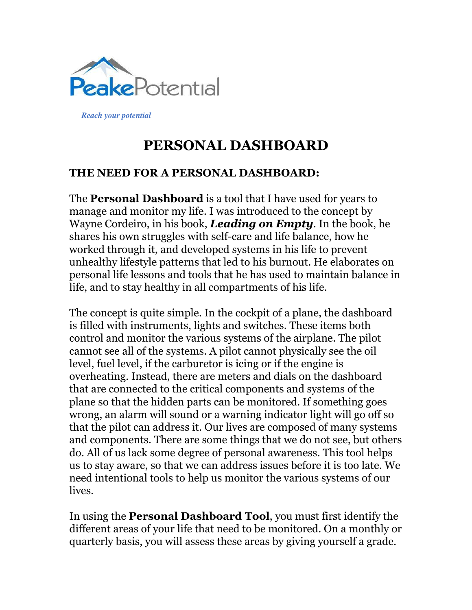

*Reach your potential*

# **PERSONAL DASHBOARD**

#### **THE NEED FOR A PERSONAL DASHBOARD:**

The **Personal Dashboard** is a tool that I have used for years to manage and monitor my life. I was introduced to the concept by Wayne Cordeiro, in his book, *Leading on Empty*. In the book, he shares his own struggles with self-care and life balance, how he worked through it, and developed systems in his life to prevent unhealthy lifestyle patterns that led to his burnout. He elaborates on personal life lessons and tools that he has used to maintain balance in life, and to stay healthy in all compartments of his life.

The concept is quite simple. In the cockpit of a plane, the dashboard is filled with instruments, lights and switches. These items both control and monitor the various systems of the airplane. The pilot cannot see all of the systems. A pilot cannot physically see the oil level, fuel level, if the carburetor is icing or if the engine is overheating. Instead, there are meters and dials on the dashboard that are connected to the critical components and systems of the plane so that the hidden parts can be monitored. If something goes wrong, an alarm will sound or a warning indicator light will go off so that the pilot can address it. Our lives are composed of many systems and components. There are some things that we do not see, but others do. All of us lack some degree of personal awareness. This tool helps us to stay aware, so that we can address issues before it is too late. We need intentional tools to help us monitor the various systems of our lives.

In using the **Personal Dashboard Tool**, you must first identify the different areas of your life that need to be monitored. On a monthly or quarterly basis, you will assess these areas by giving yourself a grade.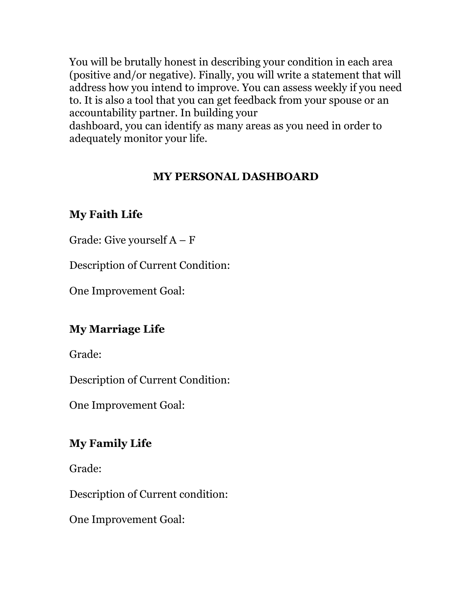You will be brutally honest in describing your condition in each area (positive and/or negative). Finally, you will write a statement that will address how you intend to improve. You can assess weekly if you need to. It is also a tool that you can get feedback from your spouse or an accountability partner. In building your

dashboard, you can identify as many areas as you need in order to adequately monitor your life.

## **MY PERSONAL DASHBOARD**

## **My Faith Life**

Grade: Give yourself  $A - F$ 

Description of Current Condition:

One Improvement Goal:

### **My Marriage Life**

Grade:

Description of Current Condition:

One Improvement Goal:

### **My Family Life**

Grade:

Description of Current condition:

One Improvement Goal: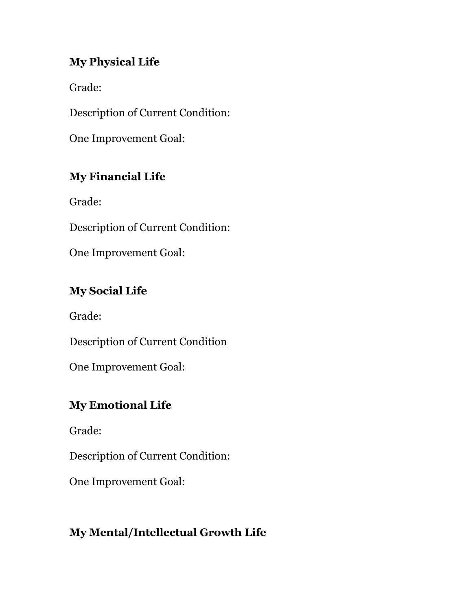#### **My Physical Life**

Grade:

Description of Current Condition:

One Improvement Goal:

## **My Financial Life**

Grade:

Description of Current Condition:

One Improvement Goal:

## **My Social Life**

Grade:

Description of Current Condition

One Improvement Goal:

## **My Emotional Life**

Grade:

Description of Current Condition:

One Improvement Goal:

## **My Mental/Intellectual Growth Life**